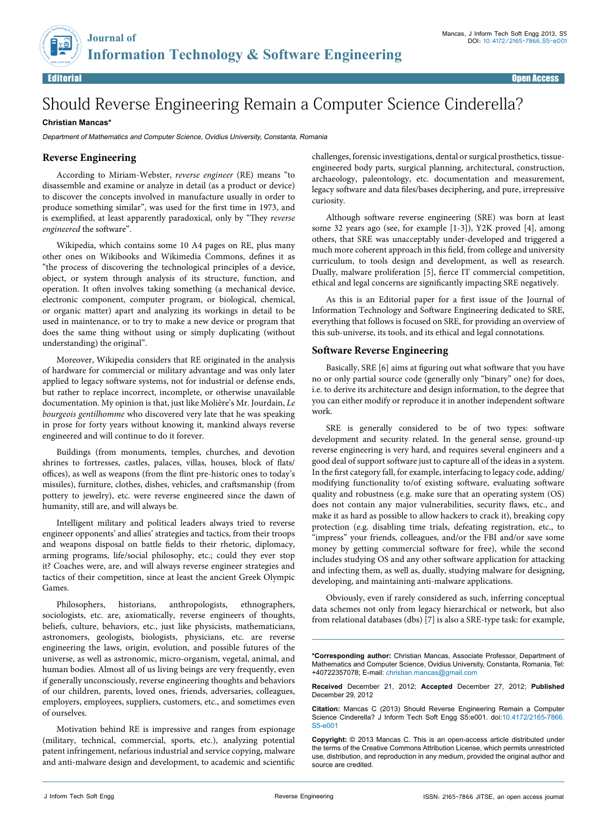

Editorial Open Access

# Should Reverse Engineering Remain a Computer Science Cinderella?

#### **Christian Mancas\***

Department of Mathematics and Computer Science, Ovidius University, Constanta, Romania

## **Reverse Engineering**

According to Miriam-Webster, *reverse engineer* (RE) means "to disassemble and examine or analyze in detail (as a product or device) to discover the concepts involved in manufacture usually in order to produce something similar", was used for the first time in 1973, and is exemplified, at least apparently paradoxical, only by "They *reverse engineered* the software".

Wikipedia, which contains some 10 A4 pages on RE, plus many other ones on Wikibooks and Wikimedia Commons, defines it as "the process of discovering the technological principles of a device, object, or system through analysis of its structure, function, and operation. It often involves taking something (a mechanical device, electronic component, computer program, or biological, chemical, or organic matter) apart and analyzing its workings in detail to be used in maintenance, or to try to make a new device or program that does the same thing without using or simply duplicating (without understanding) the original".

Moreover, Wikipedia considers that RE originated in the analysis of hardware for commercial or military advantage and was only later applied to legacy software systems, not for industrial or defense ends, but rather to replace incorrect, incomplete, or otherwise unavailable documentation. My opinion is that, just like Molière's Mr. Jourdain, *Le bourgeois gentilhomme* who discovered very late that he was speaking in prose for forty years without knowing it, mankind always reverse engineered and will continue to do it forever.

Buildings (from monuments, temples, churches, and devotion shrines to fortresses, castles, palaces, villas, houses, block of flats/ offices), as well as weapons (from the flint pre-historic ones to today's missiles), furniture, clothes, dishes, vehicles, and craftsmanship (from pottery to jewelry), etc. were reverse engineered since the dawn of humanity, still are, and will always be.

Intelligent military and political leaders always tried to reverse engineer opponents' and allies' strategies and tactics, from their troops and weapons disposal on battle fields to their rhetoric, diplomacy, arming programs, life/social philosophy, etc.; could they ever stop it? Coaches were, are, and will always reverse engineer strategies and tactics of their competition, since at least the ancient Greek Olympic Games.

Philosophers, historians, anthropologists, ethnographers, sociologists, etc. are, axiomatically, reverse engineers of thoughts, beliefs, culture, behaviors, etc., just like physicists, mathematicians, astronomers, geologists, biologists, physicians, etc. are reverse engineering the laws, origin, evolution, and possible futures of the universe, as well as astronomic, micro-organism, vegetal, animal, and human bodies. Almost all of us living beings are very frequently, even if generally unconsciously, reverse engineering thoughts and behaviors of our children, parents, loved ones, friends, adversaries, colleagues, employers, employees, suppliers, customers, etc., and sometimes even of ourselves.

Motivation behind RE is impressive and ranges from espionage (military, technical, commercial, sports, etc.), analyzing potential patent infringement, nefarious industrial and service copying, malware and anti-malware design and development, to academic and scientific

challenges, forensic investigations, dental or surgical prosthetics, tissueengineered body parts, surgical planning, architectural, construction, archaeology, paleontology, etc. documentation and measurement, legacy software and data files/bases deciphering, and pure, irrepressive curiosity.

Although software reverse engineering (SRE) was born at least some 32 years ago (see, for example [1-3]), Y2K proved [4], among others, that SRE was unacceptably under-developed and triggered a much more coherent approach in this field, from college and university curriculum, to tools design and development, as well as research. Dually, malware proliferation [5], fierce IT commercial competition, ethical and legal concerns are significantly impacting SRE negatively.

As this is an Editorial paper for a first issue of the Journal of Information Technology and Software Engineering dedicated to SRE, everything that follows is focused on SRE, for providing an overview of this sub-universe, its tools, and its ethical and legal connotations.

### **Software Reverse Engineering**

Basically, SRE [6] aims at figuring out what software that you have no or only partial source code (generally only "binary" one) for does, i.e. to derive its architecture and design information, to the degree that you can either modify or reproduce it in another independent software work.

SRE is generally considered to be of two types: software development and security related. In the general sense, ground-up reverse engineering is very hard, and requires several engineers and a good deal of support software just to capture all of the ideas in a system. In the first category fall, for example, interfacing to legacy code, adding/ modifying functionality to/of existing software, evaluating software quality and robustness (e.g. make sure that an operating system (OS) does not contain any major vulnerabilities, security flaws, etc., and make it as hard as possible to allow hackers to crack it), breaking copy protection (e.g. disabling time trials, defeating registration, etc., to "impress" your friends, colleagues, and/or the FBI and/or save some money by getting commercial software for free), while the second includes studying OS and any other software application for attacking and infecting them, as well as, dually, studying malware for designing, developing, and maintaining anti-malware applications.

Obviously, even if rarely considered as such, inferring conceptual data schemes not only from legacy hierarchical or network, but also from relational databases (dbs) [7] is also a SRE-type task: for example,

**\*Corresponding author:** Christian Mancas, Associate Professor, Department of Mathematics and Computer Science, Ovidius University, Constanta, Romania, Tel: +40722357078; E-mail: christian.mancas@gmail.com

**Received** December 21, 2012; **Accepted** December 27, 2012; **Published** December 29, 2012

**Citation:** Mancas C (2013) Should Reverse Engineering Remain a Computer Science Cinderella? J Inform Tech Soft Engg S5:e001. doi:10.4172/2165-7866. S5-e001

**Copyright:** © 2013 Mancas C. This is an open-access article distributed under the terms of the Creative Commons Attribution License, which permits unrestricted use, distribution, and reproduction in any medium, provided the original author and source are credited.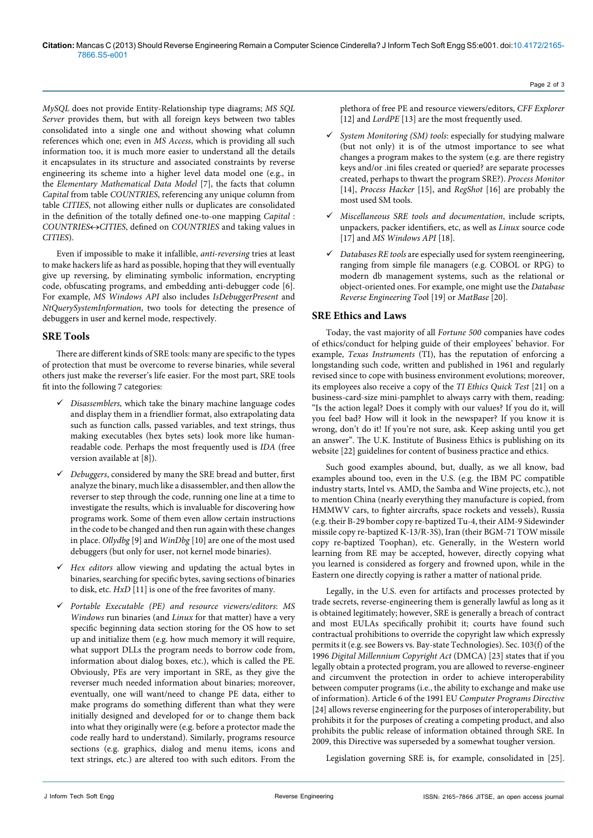*MySQL* does not provide Entity-Relationship type diagrams; *MS SQL Server* provides them, but with all foreign keys between two tables consolidated into a single one and without showing what column references which one; even in *MS Access*, which is providing all such information too, it is much more easier to understand all the details it encapsulates in its structure and associated constraints by reverse engineering its scheme into a higher level data model one (e.g., in the *Elementary Mathematical Data Model* [7], the facts that column *Capital* from table *COUNTRIES*, referencing any unique column from table *CITIES*, not allowing either nulls or duplicates are consolidated in the definition of the totally defined one-to-one mapping *Capital* : *COUNTRIES*↔*CITIES*, defined on *COUNTRIES* and taking values in *CITIES*).

Even if impossible to make it infallible, *anti-reversing* tries at least to make hackers life as hard as possible, hoping that they will eventually give up reversing, by eliminating symbolic information, encrypting code, obfuscating programs, and embedding anti-debugger code [6]. For example, *MS Windows API* also includes *IsDebuggerPresent* and *NtQuerySystemInformation*, two tools for detecting the presence of debuggers in user and kernel mode, respectively.

### **SRE Tools**

There are different kinds of SRE tools: many are specific to the types of protection that must be overcome to reverse binaries, while several others just make the reverser's life easier. For the most part, SRE tools fit into the following 7 categories:

- 9 *Disassemblers,* which take the binary machine language codes and display them in a friendlier format, also extrapolating data such as function calls, passed variables, and text strings, thus making executables (hex bytes sets) look more like humanreadable code. Perhaps the most frequently used is *IDA* (free version available at [8]).
- 9 *Debuggers*, considered by many the SRE bread and butter, first analyze the binary, much like a disassembler, and then allow the reverser to step through the code, running one line at a time to investigate the results, which is invaluable for discovering how programs work. Some of them even allow certain instructions in the code to be changed and then run again with these changes in place. *Ollydbg* [9] and *WinDbg* [10] are one of the most used debuggers (but only for user, not kernel mode binaries).
- 9 *Hex editors* allow viewing and updating the actual bytes in binaries, searching for specific bytes, saving sections of binaries to disk, etc. *HxD* [11] is one of the free favorites of many.
- 9 *Portable Executable (PE) and resource viewers/editors*: *MS Windows* run binaries (and *Linux* for that matter) have a very specific beginning data section storing for the OS how to set up and initialize them (e.g. how much memory it will require, what support DLLs the program needs to borrow code from, information about dialog boxes, etc.), which is called the PE. Obviously, PEs are very important in SRE, as they give the reverser much needed information about binaries; moreover, eventually, one will want/need to change PE data, either to make programs do something different than what they were initially designed and developed for or to change them back into what they originally were (e.g. before a protector made the code really hard to understand). Similarly, programs resource sections (e.g. graphics, dialog and menu items, icons and text strings, etc.) are altered too with such editors. From the

plethora of free PE and resource viewers/editors, *CFF Explorer*  [12] and *LordPE* [13] are the most frequently used.

- 9 *System Monitoring (SM) tools*: especially for studying malware (but not only) it is of the utmost importance to see what changes a program makes to the system (e.g. are there registry keys and/or .ini files created or queried? are separate processes created, perhaps to thwart the program SRE?). *Process Monitor*  [14], *Process Hacker* [15], and *RegShot* [16] are probably the most used SM tools.
- 9 *Miscellaneous SRE tools and documentation*, include scripts, unpackers, packer identifiers, etc, as well as *Linux* source code [17] and *MS Windows API* [18].
- 9 *Databases RE tools* are especially used for system reengineering, ranging from simple file managers (e.g. COBOL or RPG) to modern db management systems, such as the relational or object-oriented ones. For example, one might use the *Database Reverse Engineering Too*l [19] or *MatBase* [20].

#### **SRE Ethics and Laws**

Today, the vast majority of all *Fortune 500* companies have codes of ethics/conduct for helping guide of their employees' behavior. For example, *Texas Instruments* (TI), has the reputation of enforcing a longstanding such code, written and published in 1961 and regularly revised since to cope with business environment evolutions; moreover, its employees also receive a copy of the *TI Ethics Quick Test* [21] on a business-card-size mini-pamphlet to always carry with them, reading: "Is the action legal? Does it comply with our values? If you do it, will you feel bad? How will it look in the newspaper? If you know it is wrong, don't do it! If you're not sure, ask. Keep asking until you get an answer". The U.K. Institute of Business Ethics is publishing on its website [22] guidelines for content of business practice and ethics.

Such good examples abound, but, dually, as we all know, bad examples abound too, even in the U.S. (e.g. the IBM PC compatible industry starts, Intel vs. AMD, the Samba and Wine projects, etc.), not to mention China (nearly everything they manufacture is copied, from HMMWV cars, to fighter aircrafts, space rockets and vessels), Russia (e.g. their B-29 bomber copy re-baptized Tu-4, their AIM-9 Sidewinder missile copy re-baptized K-13/R-3S), Iran (their BGM-71 TOW missile copy re-baptized Toophan), etc. Generally, in the Western world learning from RE may be accepted, however, directly copying what you learned is considered as forgery and frowned upon, while in the Eastern one directly copying is rather a matter of national pride.

Legally, in the U.S. even for artifacts and processes protected by trade secrets, reverse-engineering them is generally lawful as long as it is obtained legitimately; however, SRE is generally a breach of contract and most EULAs specifically prohibit it; courts have found such contractual prohibitions to override the copyright law which expressly permits it (e.g. see Bowers vs. Bay-state Technologies). Sec. 103(f) of the 1996 *Digital Millennium Copyright Act* (DMCA) [23] states that if you legally obtain a protected program, you are allowed to reverse-engineer and circumvent the protection in order to achieve interoperability between computer programs (i.e., the ability to exchange and make use of information). Article 6 of the 1991 EU *Computer Programs Directive*  [24] allows reverse engineering for the purposes of interoperability, but prohibits it for the purposes of creating a competing product, and also prohibits the public release of information obtained through SRE. In 2009, this Directive was superseded by a somewhat tougher version.

Legislation governing SRE is, for example, consolidated in [25].